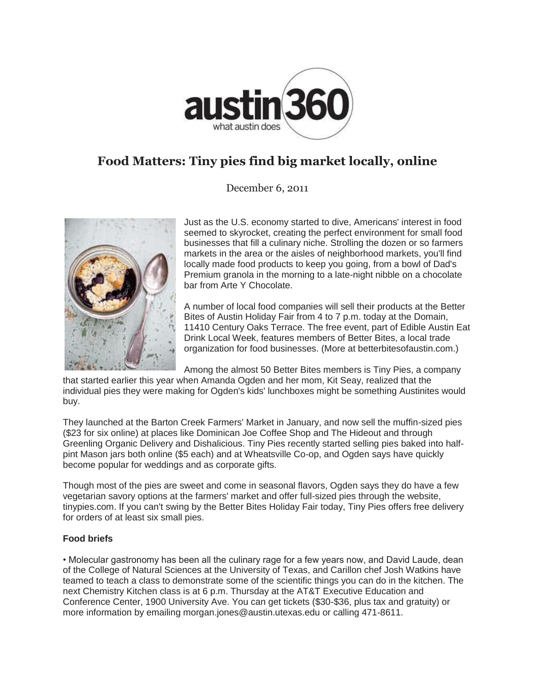

## **Food Matters: Tiny pies find big market locally, online**

December 6, 2011



Just as the U.S. economy started to dive, Americans' interest in food seemed to skyrocket, creating the perfect environment for small food businesses that fill a culinary niche. Strolling the dozen or so farmers markets in the area or the aisles of neighborhood markets, you'll find locally made food products to keep you going, from a bowl of Dad's Premium granola in the morning to a late-night nibble on a chocolate bar from Arte Y Chocolate.

A number of local food companies will sell their products at the Better Bites of Austin Holiday Fair from 4 to 7 p.m. today at the Domain, 11410 Century Oaks Terrace. The free event, part of Edible Austin Eat Drink Local Week, features members of Better Bites, a local trade organization for food businesses. (More at betterbitesofaustin.com.)

Among the almost 50 Better Bites members is Tiny Pies, a company

that started earlier this year when Amanda Ogden and her mom, Kit Seay, realized that the individual pies they were making for Ogden's kids' lunchboxes might be something Austinites would buy.

They launched at the Barton Creek Farmers' Market in January, and now sell the muffin-sized pies (\$23 for six online) at places like Dominican Joe Coffee Shop and The Hideout and through Greenling Organic Delivery and Dishalicious. Tiny Pies recently started selling pies baked into halfpint Mason jars both online (\$5 each) and at Wheatsville Co-op, and Ogden says have quickly become popular for weddings and as corporate gifts.

Though most of the pies are sweet and come in seasonal flavors, Ogden says they do have a few vegetarian savory options at the farmers' market and offer full-sized pies through the website, tinypies.com. If you can't swing by the Better Bites Holiday Fair today, Tiny Pies offers free delivery for orders of at least six small pies.

## **Food briefs**

• Molecular gastronomy has been all the culinary rage for a few years now, and David Laude, dean of the College of Natural Sciences at the University of Texas, and Carillon chef Josh Watkins have teamed to teach a class to demonstrate some of the scientific things you can do in the kitchen. The next Chemistry Kitchen class is at 6 p.m. Thursday at the AT&T Executive Education and Conference Center, 1900 University Ave. You can get tickets (\$30-\$36, plus tax and gratuity) or more information by emailing morgan.jones@austin.utexas.edu or calling 471-8611.